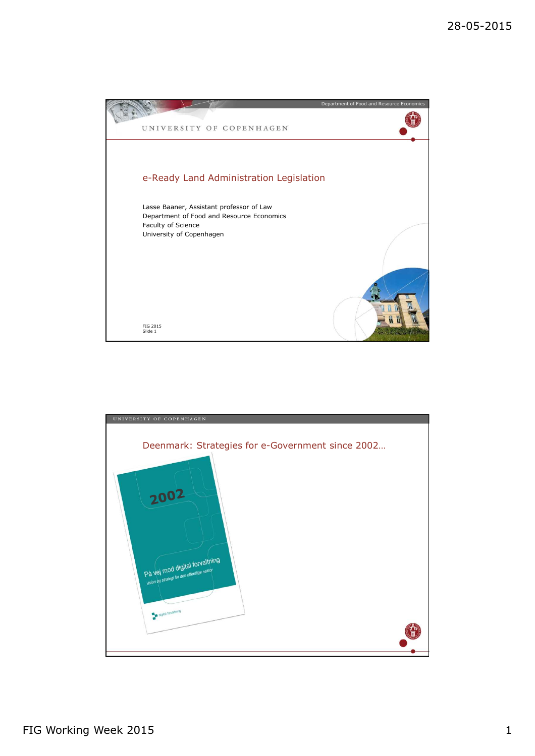

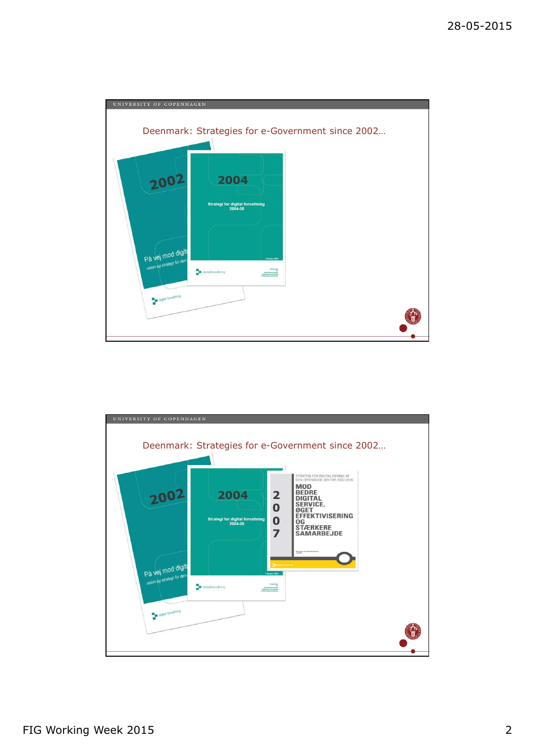

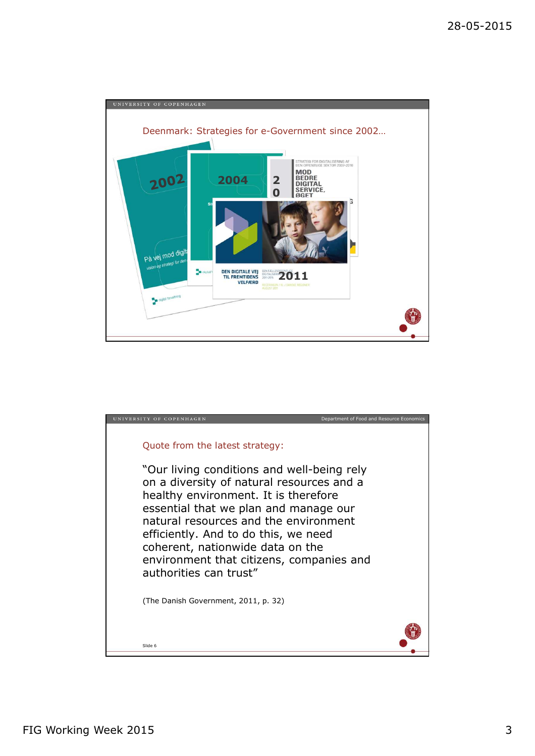

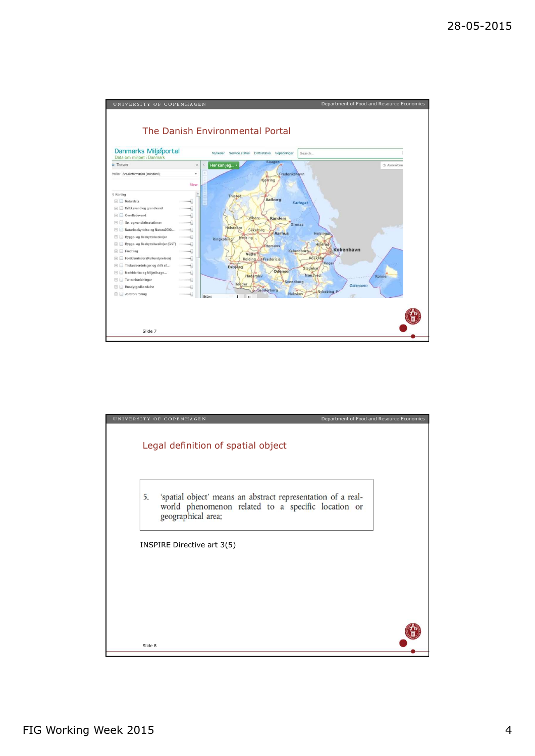

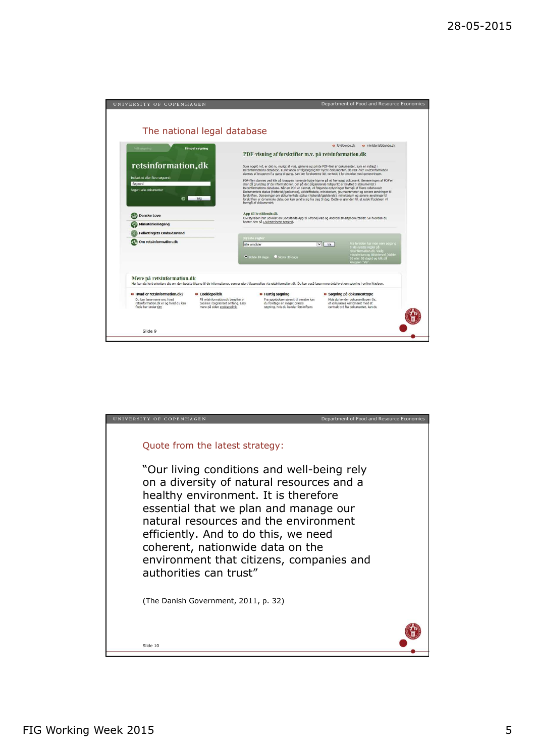| UNIVERSITY OF COPENHAGEN                                                                                                                                                                                                                                     | Department of Food and Resource Economics                                                                                                                                                                                                                                                                                                                                                                                                                                                                                                                                                                                                                                                                                                                                                                                                                                                                                                                                                                                                                                                                                              |
|--------------------------------------------------------------------------------------------------------------------------------------------------------------------------------------------------------------------------------------------------------------|----------------------------------------------------------------------------------------------------------------------------------------------------------------------------------------------------------------------------------------------------------------------------------------------------------------------------------------------------------------------------------------------------------------------------------------------------------------------------------------------------------------------------------------------------------------------------------------------------------------------------------------------------------------------------------------------------------------------------------------------------------------------------------------------------------------------------------------------------------------------------------------------------------------------------------------------------------------------------------------------------------------------------------------------------------------------------------------------------------------------------------------|
| The national legal database                                                                                                                                                                                                                                  |                                                                                                                                                                                                                                                                                                                                                                                                                                                                                                                                                                                                                                                                                                                                                                                                                                                                                                                                                                                                                                                                                                                                        |
| Feltspaning<br><b>Simpel søgning</b><br>retsinformation.dk<br>Indtast et eller flere søgeord:<br>Søgeord<br>Søger i alle dokumenter<br>Søg<br>െ                                                                                                              | lovtidende.dk<br><b>a</b> ministerialtidende.dk<br>PDF-visning af forskrifter m.v. på retsinformation.dk<br>Som noget nyt, er det nu muligt at vise, gemme og printe PDF-filer af dokumenter, som er indlagt i<br>Retsinformations database. Funktionen er tilgængelig for nyere dokumenter. Da PDF-filer i Retsinformation<br>dannes af brugeren fra gang til gang, kan der forekomme lidt ventetid i forbindelse med genereringen.<br>PDF-filen dannes ved klik på knappen i øverste højre hjørne på et fremsøgt dokument. Genereringen af PDF'en<br>sker på grundlag af de informationer, der på det pågældende tidspunkt er knyttet til dokumentet i<br>Retsinformations database. Når en PDF er dannet, vil følgende oplysninger fremgå af filens sidehoved:<br>Dokumentets status (historisk/gældende), udskriftsdato, ministerium, journalnummer og senere ændringer til<br>forskriften. Oplysninger om dokumentets status (historisk/gældende), ministerium og senere ændringer til<br>forskriften er dynamiske data, der kan ændre sig fra dag til dag. Dette er grunden til, at udskriftsdatoen vil<br>fremgå af dokumentet. |
| Danske Love<br>Ministerieindgang                                                                                                                                                                                                                             | App til lovtidende.dk<br>Civilstyrelsen har udviklet en Lovtidende App til iPhone/iPad og Android smartphone/tablet. Se hvordan du<br>henter den på Civilstyrelsens netsted.                                                                                                                                                                                                                                                                                                                                                                                                                                                                                                                                                                                                                                                                                                                                                                                                                                                                                                                                                           |
| <b>Folketingets Ombudsmand</b><br><b>GA</b> Om retsinformation.dk                                                                                                                                                                                            | Nyeste regler<br>Fra forsiden har man nem adgang<br>$\vee$ Vis<br>Alle områder<br>til de nyeste regler på<br>retsinformation.dk. Vario<br>ministerium og tidsinterval (sidste)<br>10 eller 30 dage) og kik på<br>O Sidste 10 dage<br>Sidste 30 dage<br>knappen "Vis".                                                                                                                                                                                                                                                                                                                                                                                                                                                                                                                                                                                                                                                                                                                                                                                                                                                                  |
| Mere på retsinformation.dk                                                                                                                                                                                                                                   | Her kan du kort orientere dig om den bedste tilgang til de informationer, som er gjort tilgaengelige via retsinformation.dk. Du kan også laese mere detaljeret om søgning i online hiaelpen.                                                                                                                                                                                                                                                                                                                                                                                                                                                                                                                                                                                                                                                                                                                                                                                                                                                                                                                                           |
| Hyad er retsinformation.dk?<br><b>O</b> Cookiepolitik<br>Du kan laese mere om, hvad<br>På retsinformation, dk benytter vi<br>retsinformation.dk er og hvad du kan<br>cookies i begraenset omfang. Laes<br>mere på siden cookiepolitik.<br>finde her under Om | <b>• Søgning på dokumenttype</b><br><b>B</b> Hurtig søgning<br>Fra søgeboksen øverst til venstre kan<br>Hvis du kender dokumenttypen (fx.<br>et cirkulære) kombineret med et<br>du foretage en meget præcis<br>centralt ord fra dokumentet, kan du<br>søgning, hvis du kender forskriftens                                                                                                                                                                                                                                                                                                                                                                                                                                                                                                                                                                                                                                                                                                                                                                                                                                             |
| Slide 9                                                                                                                                                                                                                                                      |                                                                                                                                                                                                                                                                                                                                                                                                                                                                                                                                                                                                                                                                                                                                                                                                                                                                                                                                                                                                                                                                                                                                        |